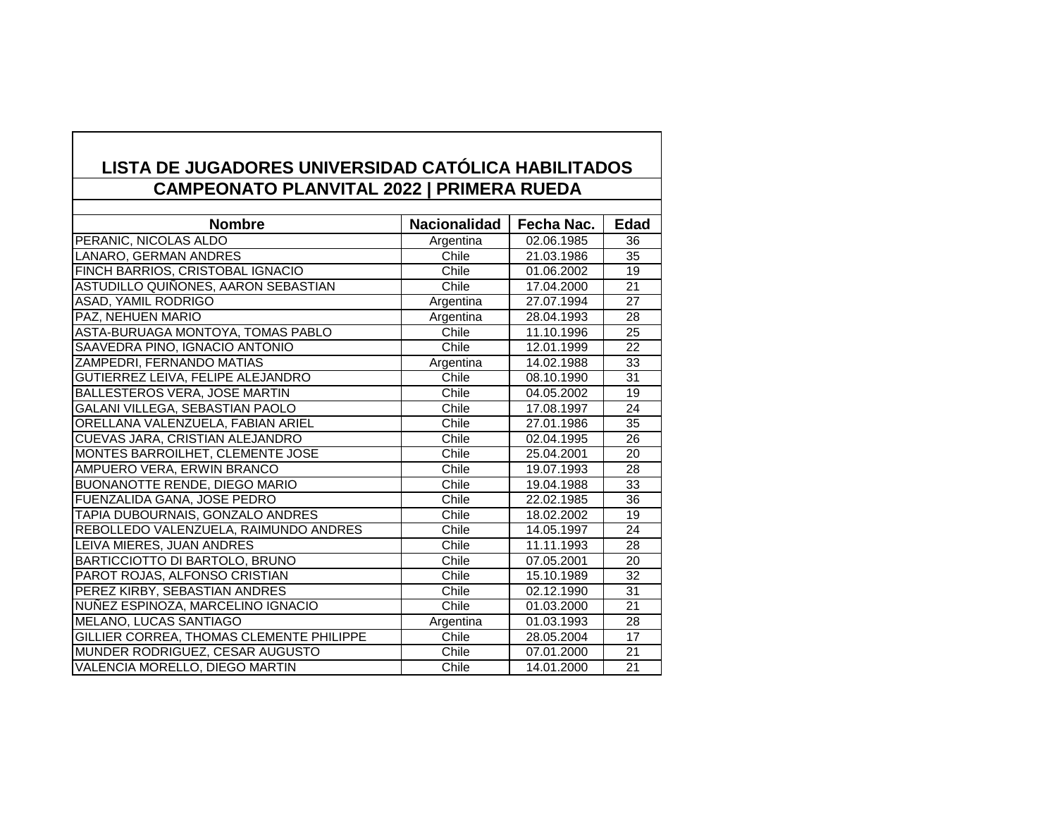## **LISTA DE JUGADORES UNIVERSIDAD CATÓLICA HABILITADOS CAMPEONATO PLANVITAL 2022 | PRIMERA RUEDA**

| <b>Nombre</b>                            | Nacionalidad | Fecha Nac. | <b>Edad</b>     |
|------------------------------------------|--------------|------------|-----------------|
| PERANIC, NICOLAS ALDO                    | Argentina    | 02.06.1985 | 36              |
| LANARO, GERMAN ANDRES                    | Chile        | 21.03.1986 | 35              |
| FINCH BARRIOS, CRISTOBAL IGNACIO         | Chile        | 01.06.2002 | 19              |
| ASTUDILLO QUIÑONES, AARON SEBASTIAN      | Chile        | 17.04.2000 | 21              |
| ASAD, YAMIL RODRIGO                      | Argentina    | 27.07.1994 | 27              |
| PAZ, NEHUEN MARIO                        | Argentina    | 28.04.1993 | 28              |
| ASTA-BURUAGA MONTOYA, TOMAS PABLO        | Chile        | 11.10.1996 | 25              |
| SAAVEDRA PINO, IGNACIO ANTONIO           | Chile        | 12.01.1999 | 22              |
| ZAMPEDRI, FERNANDO MATIAS                | Argentina    | 14.02.1988 | $\overline{33}$ |
| GUTIERREZ LEIVA, FELIPE ALEJANDRO        | Chile        | 08.10.1990 | 31              |
| <b>BALLESTEROS VERA, JOSE MARTIN</b>     | Chile        | 04.05.2002 | 19              |
| GALANI VILLEGA, SEBASTIAN PAOLO          | Chile        | 17.08.1997 | 24              |
| ORELLANA VALENZUELA, FABIAN ARIEL        | Chile        | 27.01.1986 | 35              |
| CUEVAS JARA, CRISTIAN ALEJANDRO          | Chile        | 02.04.1995 | $\overline{26}$ |
| MONTES BARROILHET, CLEMENTE JOSE         | Chile        | 25.04.2001 | 20              |
| AMPUERO VERA, ERWIN BRANCO               | Chile        | 19.07.1993 | 28              |
| <b>BUONANOTTE RENDE, DIEGO MARIO</b>     | Chile        | 19.04.1988 | 33              |
| FUENZALIDA GANA, JOSE PEDRO              | Chile        | 22.02.1985 | 36              |
| TAPIA DUBOURNAIS, GONZALO ANDRES         | Chile        | 18.02.2002 | 19              |
| REBOLLEDO VALENZUELA, RAIMUNDO ANDRES    | Chile        | 14.05.1997 | 24              |
| LEIVA MIERES, JUAN ANDRES                | Chile        | 11.11.1993 | 28              |
| BARTICCIOTTO DI BARTOLO, BRUNO           | Chile        | 07.05.2001 | 20              |
| PAROT ROJAS, ALFONSO CRISTIAN            | Chile        | 15.10.1989 | 32              |
| PEREZ KIRBY, SEBASTIAN ANDRES            | Chile        | 02.12.1990 | 31              |
| NUÑEZ ESPINOZA, MARCELINO IGNACIO        | Chile        | 01.03.2000 | 21              |
| <b>MELANO, LUCAS SANTIAGO</b>            | Argentina    | 01.03.1993 | 28              |
| GILLIER CORREA, THOMAS CLEMENTE PHILIPPE | Chile        | 28.05.2004 | 17              |
| MUNDER RODRIGUEZ, CESAR AUGUSTO          | Chile        | 07.01.2000 | 21              |
| VALENCIA MORELLO, DIEGO MARTIN           | Chile        | 14.01.2000 | $\overline{21}$ |